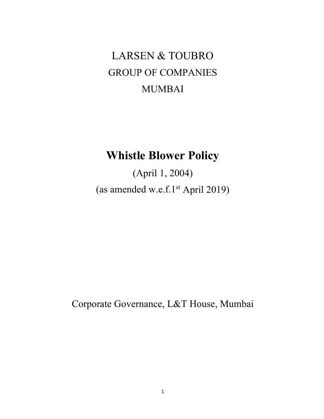# LARSEN & TOUBRO GROUP OF COMPANIES MUMBAI

## **Whistle Blower Policy**

(April 1, 2004) (as amended w.e.f.1st April 2019)

Corporate Governance, L&T House, Mumbai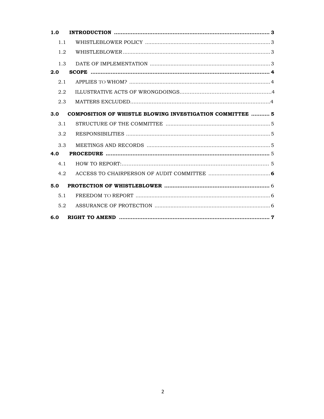| 1.0 |                                                           |
|-----|-----------------------------------------------------------|
| 1.1 |                                                           |
| 1.2 |                                                           |
| 1.3 |                                                           |
| 2.0 |                                                           |
| 2.1 |                                                           |
| 2.2 |                                                           |
| 2.3 |                                                           |
| 3.0 | COMPOSITION OF WHISTLE BLOWING INVESTIGATION COMMITTEE  5 |
| 3.1 |                                                           |
| 3.2 |                                                           |
| 3.3 |                                                           |
| 4.0 |                                                           |
| 4.1 |                                                           |
| 4.2 |                                                           |
| 5.0 |                                                           |
| 5.1 |                                                           |
| 5.2 |                                                           |
| 6.0 |                                                           |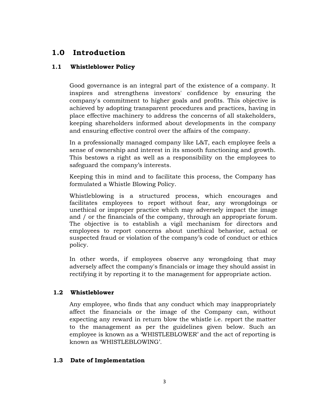## **1.0 Introduction**

#### **1.1 Whistleblower Policy**

Good governance is an integral part of the existence of a company. It inspires and strengthens investors' confidence by ensuring the company's commitment to higher goals and profits. This objective is achieved by adopting transparent procedures and practices, having in place effective machinery to address the concerns of all stakeholders, keeping shareholders informed about developments in the company and ensuring effective control over the affairs of the company.

In a professionally managed company like L&T, each employee feels a sense of ownership and interest in its smooth functioning and growth. This bestows a right as well as a responsibility on the employees to safeguard the company's interests.

Keeping this in mind and to facilitate this process, the Company has formulated a Whistle Blowing Policy.

Whistleblowing is a structured process, which encourages and facilitates employees to report without fear, any wrongdoings or unethical or improper practice which may adversely impact the image and / or the financials of the company, through an appropriate forum. The objective is to establish a vigil mechanism for directors and employees to report concerns about unethical behavior, actual or suspected fraud or violation of the company's code of conduct or ethics policy.

In other words, if employees observe any wrongdoing that may adversely affect the company's financials or image they should assist in rectifying it by reporting it to the management for appropriate action.

#### **1.2 Whistleblower**

Any employee, who finds that any conduct which may inappropriately affect the financials or the image of the Company can, without expecting any reward in return blow the whistle i.e. report the matter to the management as per the guidelines given below. Such an employee is known as a 'WHISTLEBLOWER' and the act of reporting is known as 'WHISTLEBLOWING'.

#### **1.3 Date of Implementation**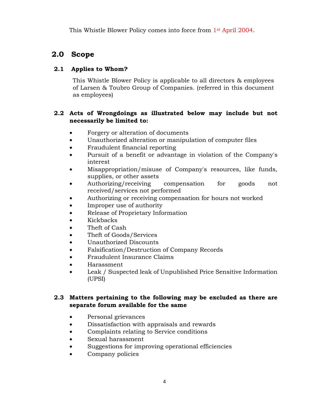This Whistle Blower Policy comes into force from 1st April 2004.

## **2.0 Scope**

#### **2.1 Applies to Whom?**

 This Whistle Blower Policy is applicable to all directors & employees of Larsen & Toubro Group of Companies. (referred in this document as employees)

#### **2.2 Acts of Wrongdoings as illustrated below may include but not necessarily be limited to:**

- Forgery or alteration of documents
- Unauthorized alteration or manipulation of computer files
- Fraudulent financial reporting
- Pursuit of a benefit or advantage in violation of the Company's interest
- Misappropriation/misuse of Company's resources, like funds, supplies, or other assets
- Authorizing/receiving compensation for goods not received/services not performed
- Authorizing or receiving compensation for hours not worked
- Improper use of authority
- Release of Proprietary Information
- Kickbacks
- Theft of Cash
- Theft of Goods/Services
- Unauthorized Discounts
- Falsification/Destruction of Company Records
- Fraudulent Insurance Claims
- Harassment
- Leak / Suspected leak of Unpublished Price Sensitive Information (UPSI)

#### **2.3 Matters pertaining to the following may be excluded as there are separate forum available for the same**

- Personal grievances
- Dissatisfaction with appraisals and rewards
- Complaints relating to Service conditions
- Sexual harassment
- Suggestions for improving operational efficiencies
- Company policies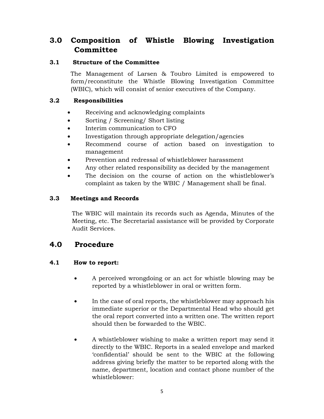## **3.0 Composition of Whistle Blowing Investigation Committee**

#### **3.1 Structure of the Committee**

 The Management of Larsen & Toubro Limited is empowered to form/reconstitute the Whistle Blowing Investigation Committee (WBIC), which will consist of senior executives of the Company.

#### **3.2 Responsibilities**

- Receiving and acknowledging complaints
- Sorting / Screening / Short listing
- Interim communication to CFO
- Investigation through appropriate delegation/agencies
- Recommend course of action based on investigation to management
- Prevention and redressal of whistleblower harassment
- Any other related responsibility as decided by the management
- The decision on the course of action on the whistleblower's complaint as taken by the WBIC / Management shall be final.

#### **3.3 Meetings and Records**

The WBIC will maintain its records such as Agenda, Minutes of the Meeting, etc. The Secretarial assistance will be provided by Corporate Audit Services.

## **4.0 Procedure**

#### **4.1 How to report:**

- A perceived wrongdoing or an act for whistle blowing may be reported by a whistleblower in oral or written form.
- In the case of oral reports, the whistleblower may approach his immediate superior or the Departmental Head who should get the oral report converted into a written one. The written report should then be forwarded to the WBIC.
- A whistleblower wishing to make a written report may send it directly to the WBIC. Reports in a sealed envelope and marked 'confidential' should be sent to the WBIC at the following address giving briefly the matter to be reported along with the name, department, location and contact phone number of the whistleblower: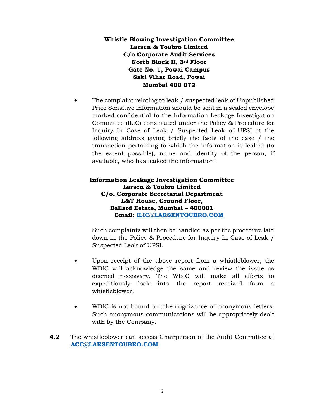#### **Whistle Blowing Investigation Committee Larsen & Toubro Limited C/o Corporate Audit Services North Block II, 3rd Floor Gate No. 1, Powai Campus Saki Vihar Road, Powai Mumbai 400 072**

The complaint relating to leak / suspected leak of Unpublished Price Sensitive Information should be sent in a sealed envelope marked confidential to the Information Leakage Investigation Committee (ILIC) constituted under the Policy & Procedure for Inquiry In Case of Leak / Suspected Leak of UPSI at the following address giving briefly the facts of the case / the transaction pertaining to which the information is leaked (to the extent possible), name and identity of the person, if available, who has leaked the information:

#### **Information Leakage Investigation Committee Larsen & Toubro Limited C/o. Corporate Secretarial Department L&T House, Ground Floor, Ballard Estate, Mumbai – 400001 Email: ILIC@LARSENTOUBRO.COM**

Such complaints will then be handled as per the procedure laid down in the Policy & Procedure for Inquiry In Case of Leak / Suspected Leak of UPSI.

- Upon receipt of the above report from a whistleblower, the WBIC will acknowledge the same and review the issue as deemed necessary. The WBIC will make all efforts to expeditiously look into the report received from a whistleblower.
- WBIC is not bound to take cognizance of anonymous letters. Such anonymous communications will be appropriately dealt with by the Company.
- **4.2** The whistleblower can access Chairperson of the Audit Committee at **ACC@LARSENTOUBRO.COM**